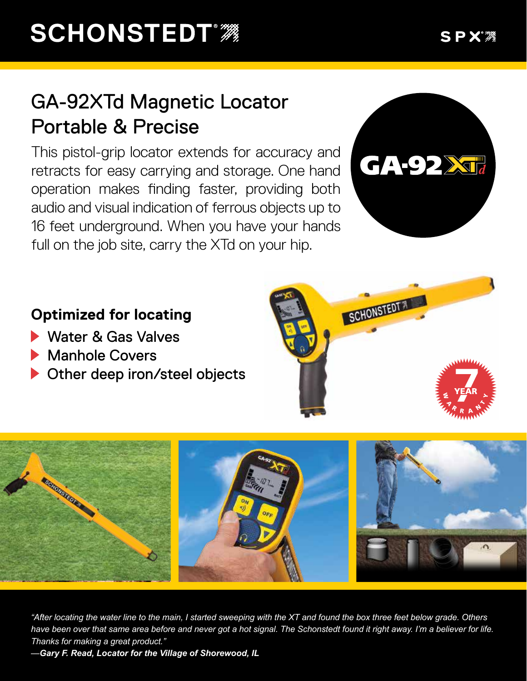## GA-92XTd Magnetic Locator Portable & Precise

This pistol-grip locator extends for accuracy and retracts for easy carrying and storage. One hand operation makes finding faster, providing both audio and visual indication of ferrous objects up to 16 feet underground. When you have your hands full on the job site, carry the XTd on your hip.



## **Optimized for locating**

- Water & Gas Valves
- Manhole Covers
- Other deep iron/steel objects





*"After locating the water line to the main, I started sweeping with the XT and found the box three feet below grade. Others have been over that same area before and never got a hot signal. The Schonstedt found it right away. I'm a believer for life. Thanks for making a great product."*

*—Gary F. Read, Locator for the Village of Shorewood, IL*